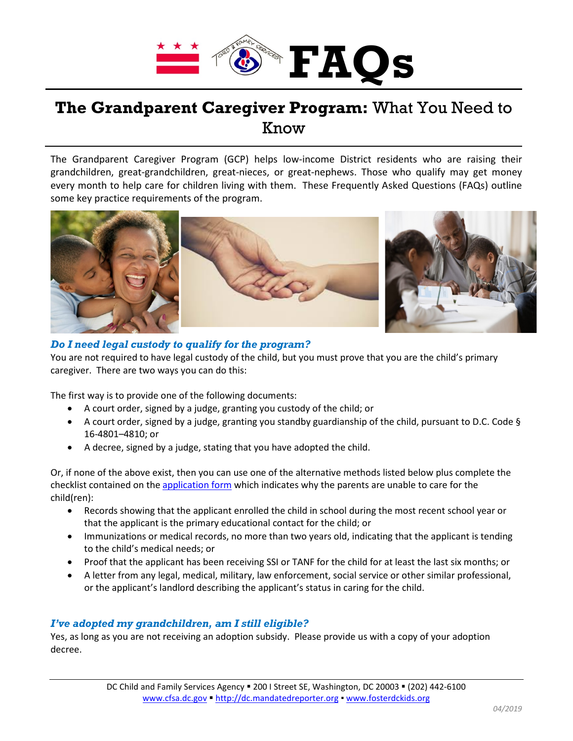

# **The Grandparent Caregiver Program:** What You Need to Know

The Grandparent Caregiver Program (GCP) helps low-income District residents who are raising their grandchildren, great-grandchildren, great-nieces, or great-nephews. Those who qualify may get money every month to help care for children living with them. These Frequently Asked Questions (FAQs) outline some key practice requirements of the program.



# *Do I need legal custody to qualify for the program?*

You are not required to have legal custody of the child, but you must prove that you are the child's primary caregiver. There are two ways you can do this:

The first way is to provide one of the following documents:

- A court order, signed by a judge, granting you custody of the child; or
- A court order, signed by a judge, granting you standby guardianship of the child, pursuant to D.C. Code § 16-4801–4810; or
- A decree, signed by a judge, stating that you have adopted the child.

Or, if none of the above exist, then you can use one of the alternative methods listed below plus complete the checklist contained on the [application form](https://cfsa.dc.gov/sites/default/files/dc/sites/cfsa/publication/attachments/GCP_Application_Form_April_2019_%28fillable%29.pdf) which indicates why the parents are unable to care for the child(ren):

- Records showing that the applicant enrolled the child in school during the most recent school year or that the applicant is the primary educational contact for the child; or
- Immunizations or medical records, no more than two years old, indicating that the applicant is tending to the child's medical needs; or
- Proof that the applicant has been receiving SSI or TANF for the child for at least the last six months; or
- A letter from any legal, medical, military, law enforcement, social service or other similar professional, or the applicant's landlord describing the applicant's status in caring for the child.

# *I've adopted my grandchildren, am I still eligible?*

Yes, as long as you are not receiving an adoption subsidy. Please provide us with a copy of your adoption decree.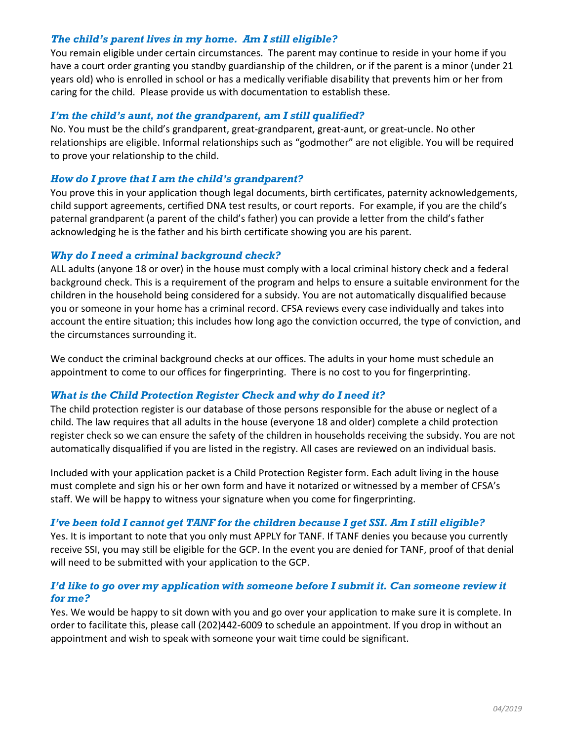# *The child's parent lives in my home. Am I still eligible?*

You remain eligible under certain circumstances. The parent may continue to reside in your home if you have a court order granting you standby guardianship of the children, or if the parent is a minor (under 21 years old) who is enrolled in school or has a medically verifiable disability that prevents him or her from caring for the child. Please provide us with documentation to establish these.

## *I'm the child's aunt, not the grandparent, am I still qualified?*

No. You must be the child's grandparent, great-grandparent, great-aunt, or great-uncle. No other relationships are eligible. Informal relationships such as "godmother" are not eligible. You will be required to prove your relationship to the child.

#### *How do I prove that I am the child's grandparent?*

You prove this in your application though legal documents, birth certificates, paternity acknowledgements, child support agreements, certified DNA test results, or court reports. For example, if you are the child's paternal grandparent (a parent of the child's father) you can provide a letter from the child's father acknowledging he is the father and his birth certificate showing you are his parent.

#### *Why do I need a criminal background check?*

ALL adults (anyone 18 or over) in the house must comply with a local criminal history check and a federal background check. This is a requirement of the program and helps to ensure a suitable environment for the children in the household being considered for a subsidy. You are not automatically disqualified because you or someone in your home has a criminal record. CFSA reviews every case individually and takes into account the entire situation; this includes how long ago the conviction occurred, the type of conviction, and the circumstances surrounding it.

We conduct the criminal background checks at our offices. The adults in your home must schedule an appointment to come to our offices for fingerprinting. There is no cost to you for fingerprinting.

# *What is the Child Protection Register Check and why do I need it?*

The child protection register is our database of those persons responsible for the abuse or neglect of a child. The law requires that all adults in the house (everyone 18 and older) complete a child protection register check so we can ensure the safety of the children in households receiving the subsidy. You are not automatically disqualified if you are listed in the registry. All cases are reviewed on an individual basis.

Included with your application packet is a Child Protection Register form. Each adult living in the house must complete and sign his or her own form and have it notarized or witnessed by a member of CFSA's staff. We will be happy to witness your signature when you come for fingerprinting.

# *I've been told I cannot get TANF for the children because I get SSI. Am I still eligible?*

Yes. It is important to note that you only must APPLY for TANF. If TANF denies you because you currently receive SSI, you may still be eligible for the GCP. In the event you are denied for TANF, proof of that denial will need to be submitted with your application to the GCP.

# *I'd like to go over my application with someone before I submit it. Can someone review it for me?*

Yes. We would be happy to sit down with you and go over your application to make sure it is complete. In order to facilitate this, please call (202)442-6009 to schedule an appointment. If you drop in without an appointment and wish to speak with someone your wait time could be significant.